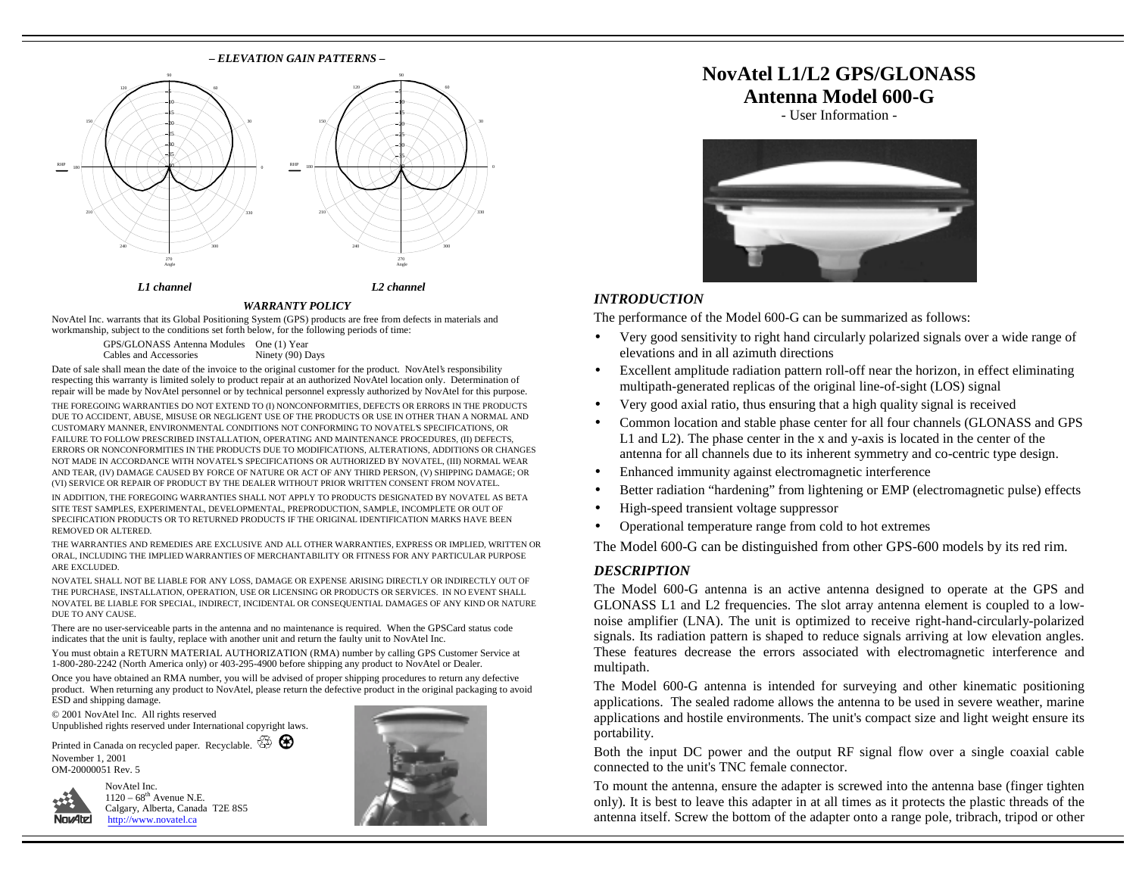#### **–** *ELEVATION GAIN PATTERNS* **–** 60120150180240270 Angle 30033051015-ра 2530-B5 - 40 060120150180210240RHPAngle 5-10 15-20 25- 30 3540*L1 channel L2 channel*

#### *WARRANTY POLICY*

NovAtel Inc. warrants that its Global Positioning System (GPS) products are free from defects in materials and workmanship, subject to the conditions set forth below, for the following periods of time:

> GPS/GLONASS Antenna Modules One (1) Year Cables and Accessories Ninety (90) Days

Date of sale shall mean the date of the invoice to the original customer for the product. NovAtel's responsibility respecting this warranty is limited solely to product repair at an authorized NovAtel location only. Determination of repair will be made by NovAtel personnel or by technical personnel expressly authorized by NovAtel for this purpose. THE FOREGOING WARRANTIES DO NOT EXTEND TO (I) NONCONFORMITIES, DEFECTS OR ERRORS IN THE PRODUCTS DUE TO ACCIDENT, ABUSE, MISUSE OR NEGLIGENT USE OF THE PRODUCTS OR USE IN OTHER THAN A NORMAL AND CUSTOMARY MANNER, ENVIRONMENTAL CONDITIONS NOT CONFORMING TO NOVATEL'S SPECIFICATIONS, OR FAILURE TO FOLLOW PRESCRIBED INSTALLATION, OPERATING AND MAINTENANCE PROCEDURES, (II) DEFECTS, ERRORS OR NONCONFORMITIES IN THE PRODUCTS DUE TO MODIFICATIONS, ALTERATIONS, ADDITIONS OR CHANGES NOT MADE IN ACCORDANCE WITH NOVATEL'S SPECIFICATIONS OR AUTHORIZED BY NOVATEL, (III) NORMAL WEAR AND TEAR, (IV) DAMAGE CAUSED BY FORCE OF NATURE OR ACT OF ANY THIRD PERSON, (V) SHIPPING DAMAGE; OR (VI) SERVICE OR REPAIR OF PRODUCT BY THE DEALER WITHOUT PRIOR WRITTEN CONSENT FROM NOVATEL.

IN ADDITION, THE FOREGOING WARRANTIES SHALL NOT APPLY TO PRODUCTS DESIGNATED BY NOVATEL AS BETA SITE TEST SAMPLES, EXPERIMENTAL, DEVELOPMENTAL, PREPRODUCTION, SAMPLE, INCOMPLETE OR OUT OF SPECIFICATION PRODUCTS OR TO RETURNED PRODUCTS IF THE ORIGINAL IDENTIFICATION MARKS HAVE BEEN REMOVED OR ALTERED.

THE WARRANTIES AND REMEDIES ARE EXCLUSIVE AND ALL OTHER WARRANTIES, EXPRESS OR IMPLIED, WRITTEN OR ORAL, INCLUDING THE IMPLIED WARRANTIES OF MERCHANTABILITY OR FITNESS FOR ANY PARTICULAR PURPOSE ARE EXCLUDED.

NOVATEL SHALL NOT BE LIABLE FOR ANY LOSS, DAMAGE OR EXPENSE ARISING DIRECTLY OR INDIRECTLY OUT OF THE PURCHASE, INSTALLATION, OPERATION, USE OR LICENSING OR PRODUCTS OR SERVICES. IN NO EVENT SHALL NOVATEL BE LIABLE FOR SPECIAL, INDIRECT, INCIDENTAL OR CONSEQUENTIAL DAMAGES OF ANY KIND OR NATURE DUE TO ANY CAUSE.

There are no user-serviceable parts in the antenna and no maintenance is required. When the GPSCard status code indicates that the unit is faulty, replace with another unit and return the faulty unit to NovAtel Inc.

You must obtain a RETURN MATERIAL AUTHORIZATION (RMA) number by calling GPS Customer Service at 1-800-280-2242 (North America only) or 403-295-4900 before shipping any product to NovAtel or Dealer.

Once you have obtained an RMA number, you will be advised of proper shipping procedures to return any defective product. When returning any product to NovAtel, please return the defective product in the original packaging to avoid ESD and shipping damage.

© 2001 NovAtel Inc. All rights reserved Unpublished rights reserved under International copyright laws.

Printed in Canada on recycled paper. Recyclable.  $\overline{\mathbb{G}}$ November 1, 2001 OM-20000051 Rev. 5



NovAtel Inc.  $1120 - 68$ <sup>th</sup> Avenue N.E. Calgary, Alberta, Canada T2E 8S5 <http://www.novatel.ca>



## **NovAtel L1/L2 GPS/GLONASS Antenna Model 600-G**

- User Information -



### *INTRODUCTION*

The performance of the Model 600-G can be summarized as follows:

- Very good sensitivity to right hand circularly polarized signals over a wide range of elevations and in all azimuth directions
- Excellent amplitude radiation pattern roll-off near the horizon, in effect eliminating multipath-generated replicas of the original line-of-sight (LOS) signal
- Very good axial ratio, thus ensuring that a high quality signal is received
- Common location and stable phase center for all four channels (GLONASS and GPS L1 and L2). The phase center in the x and y-axis is located in the center of the antenna for all channels due to its inherent symmetry and co-centric type design.
- Enhanced immunity against electromagnetic interference
- Better radiation "hardening" from lightening or EMP (electromagnetic pulse) effects
- High-speed transient voltage suppressor
- Operational temperature range from cold to hot extremes

The Model 600-G can be distinguished from other GPS-600 models by its red rim.

#### *DESCRIPTION*

The Model 600-G antenna is an active antenna designed to operate at the GPS and GLONASS L1 and L2 frequencies. The slot array antenna element is coupled to a lownoise amplifier (LNA). The unit is optimized to receive right-hand-circularly-polarized signals. Its radiation pattern is shaped to reduce signals arriving at low elevation angles. These features decrease the errors associated with electromagnetic interference and multipath.

The Model 600-G antenna is intended for surveying and other kinematic positioning applications. The sealed radome allows the antenna to be used in severe weather, marine applications and hostile environments. The unit's compact size and light weight ensure its portability.

Both the input DC power and the output RF signal flow over a single coaxial cable connected to the unit's TNC female connector.

To mount the antenna, ensure the adapter is screwed into the antenna base (finger tighten only). It is best to leave this adapter in at all times as it protects the plastic threads of the antenna itself. Screw the bottom of the adapter onto a range pole, tribrach, tripod or other